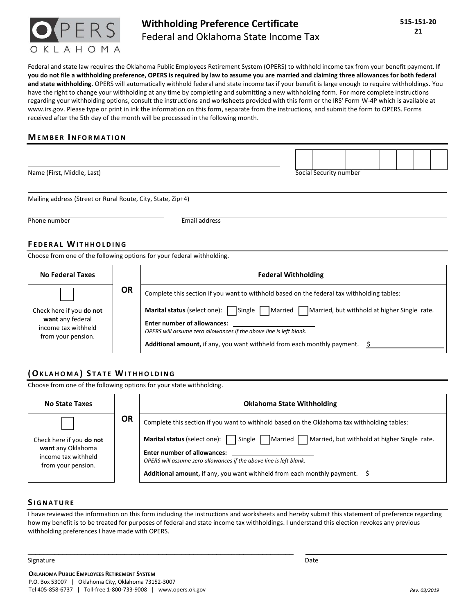

# **Withholding Preference Certificate**  Federal and Oklahoma State Income Tax

Federal and state law requires the Oklahoma Public Employees Retirement System (OPERS) to withhold income tax from your benefit payment. **If you do not file a withholding preference, OPERS is required by law to assume you are married and claiming three allowances for both federal and state withholding.** OPERS will automatically withhold federal and state income tax if your benefit is large enough to require withholdings. You have the right to change your withholding at any time by completing and submitting a new withholding form. For more complete instructions regarding your withholding options, consult the instructions and worksheets provided with this form or the IRS' Form W-4P which is available at [www.irs.gov.](www.irs.gov) Please type or print in ink the information on this form, separate from the instructions, and submit the form to OPERS. Forms received after the 5th day of the month will be processed in the following month.

#### **MEMBER INFORMATION**

| Name (First, Middle, Last) | Social Security number |  |  |  |  |  |  |
|----------------------------|------------------------|--|--|--|--|--|--|

Mailing address (Street or Rural Route, City, State, Zip+4)

Phone number **Email address** 

#### **FEDERAL WITHHOLDING**

Choose from one of the following options for your federal withholding.

| <b>No Federal Taxes</b>                                                                   |           | <b>Federal Withholding</b>                                                                                                                                                                                                                                                         |  |  |  |  |
|-------------------------------------------------------------------------------------------|-----------|------------------------------------------------------------------------------------------------------------------------------------------------------------------------------------------------------------------------------------------------------------------------------------|--|--|--|--|
|                                                                                           | <b>OR</b> | Complete this section if you want to withhold based on the federal tax withholding tables:                                                                                                                                                                                         |  |  |  |  |
| Check here if you do not<br>want any federal<br>income tax withheld<br>from your pension. |           | Married Married, but withhold at higher Single rate.<br>Marital status (select one): Single<br><b>Enter number of allowances:</b><br>OPERS will assume zero allowances if the above line is left blank.<br>Additional amount, if any, you want withheld from each monthly payment. |  |  |  |  |

## **( OK L A H O M A ) S T A T E WI T H H O L D I N G**

Choose from one of the following options for your state withholding.

| <b>No State Taxes</b>                                                                      |           | <b>Oklahoma State Withholding</b>                                                                                                                                                                                                                                                                                                                                                       |  |  |  |  |  |
|--------------------------------------------------------------------------------------------|-----------|-----------------------------------------------------------------------------------------------------------------------------------------------------------------------------------------------------------------------------------------------------------------------------------------------------------------------------------------------------------------------------------------|--|--|--|--|--|
| Check here if you do not<br>want any Oklahoma<br>income tax withheld<br>from your pension. | <b>OR</b> | Complete this section if you want to withhold based on the Oklahoma tax withholding tables:<br>Married Married, but withhold at higher Single rate.<br>Marital status (select one):     Single  <br><b>Enter number of allowances:</b><br>OPERS will assume zero allowances if the above line is left blank.<br>Additional amount, if any, you want withheld from each monthly payment. |  |  |  |  |  |

#### **S I G N A T U R E**

I have reviewed the information on this form including the instructions and worksheets and hereby submit this statement of preference regarding how my benefit is to be treated for purposes of federal and state income tax withholdings. I understand this election revokes any previous withholding preferences I have made with OPERS.

Signature Date Date of the Date of the Date of the Date of the Date of the Date of the Date of the Date of the

 $\mathcal{L}_\text{max}$  , and the set of the set of the set of the set of the set of the set of the set of the set of the set of the set of the set of the set of the set of the set of the set of the set of the set of the set of the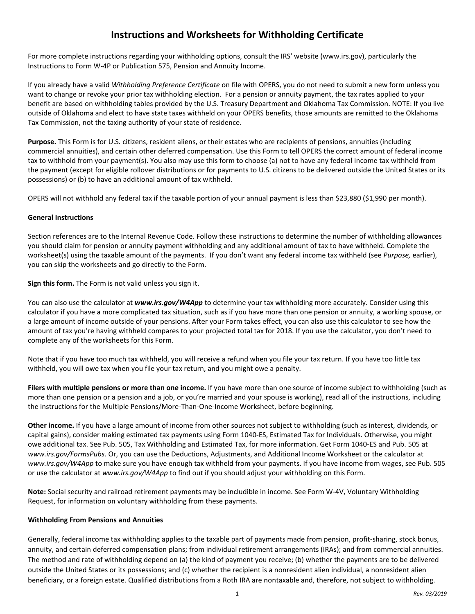# **Instructions and Worksheets for Withholding Certificate**

For more complete instructions regarding your withholding options, consult the IRS' website [\(www.irs.gov\)](www.irs.gov), particularly the Instructions to Form W-4P or Publication 575, Pension and Annuity Income.

 want to change or revoke your prior tax withholding election. For a pension or annuity payment, the tax rates applied to your If you already have a valid *Withholding Preference Certificate* on file with OPERS, you do not need to submit a new form unless you benefit are based on withholding tables provided by the U.S. Treasury Department and Oklahoma Tax Commission. NOTE: If you live outside of Oklahoma and elect to have state taxes withheld on your OPERS benefits, those amounts are remitted to the Oklahoma Tax Commission, not the taxing authority of your state of residence.

 **Purpose.** This Form is for U.S. citizens, resident aliens, or their estates who are recipients of pensions, annuities (including commercial annuities), and certain other deferred compensation. Use this Form to tell OPERS the correct amount of federal income tax to withhold from your payment(s). You also may use this form to choose (a) not to have any federal income tax withheld from the payment (except for eligible rollover distributions or for payments to U.S. citizens to be delivered outside the United States or its possessions) or (b) to have an additional amount of tax withheld.

OPERS will not withhold any federal tax if the taxable portion of your annual payment is less than \$23,880 (\$1,990 per month).

#### **General Instructions**

 worksheet(s) using the taxable amount of the payments. If you don't want any federal income tax withheld (see *Purpose,* earlier), Section references are to the Internal Revenue Code. Follow these instructions to determine the number of withholding allowances you should claim for pension or annuity payment withholding and any additional amount of tax to have withheld. Complete the you can skip the worksheets and go directly to the Form.

**Sign this form.** The Form is not valid unless you sign it.

You can also use the calculator at *<www.irs.gov/W4App>* to determine your tax withholding more accurately. Consider using this calculator if you have a more complicated tax situation, such as if you have more than one pension or annuity, a working spouse, or a large amount of income outside of your pensions. After your Form takes effect, you can also use this calculator to see how the amount of tax you're having withheld compares to your projected total tax for 2018. If you use the calculator, you don't need to complete any of the worksheets for this Form.

Note that if you have too much tax withheld, you will receive a refund when you file your tax return. If you have too little tax withheld, you will owe tax when you file your tax return, and you might owe a penalty.

**Filers with multiple pensions or more than one income.** If you have more than one source of income subject to withholding (such as more than one pension or a pension and a job, or you're married and your spouse is working), read all of the instructions, including the instructions for the Multiple Pensions/More-Than-One-Income Worksheet, before beginning.

**Other income.** If you have a large amount of income from other sources not subject to withholding (such as interest, dividends, or capital gains), consider making estimated tax payments using Form 1040-ES, Estimated Tax for Individuals. Otherwise, you might owe additional tax. See Pub. 505, Tax Withholding and Estimated Tax, for more information. Get Form 1040-ES and Pub. 505 at *<www.irs.gov/FormsPubs>*. Or, you can use the Deductions, Adjustments, and Additional Income Worksheet or the calculator at *<www.irs.gov/W4App>*to make sure you have enough tax withheld from your payments. If you have income from wages, see Pub. 505 or use the calculator at *<www.irs.gov/W4App>* to find out if you should adjust your withholding on this Form.

**Note:** Social security and railroad retirement payments may be includible in income. See Form W-4V, Voluntary Withholding Request, for information on voluntary withholding from these payments.

#### **Withholding From Pensions and Annuities**

Generally, federal income tax withholding applies to the taxable part of payments made from pension, profit-sharing, stock bonus, annuity, and certain deferred compensation plans; from individual retirement arrangements (IRAs); and from commercial annuities. The method and rate of withholding depend on (a) the kind of payment you receive; (b) whether the payments are to be delivered outside the United States or its possessions; and (c) whether the recipient is a nonresident alien individual, a nonresident alien beneficiary, or a foreign estate. Qualified distributions from a Roth IRA are nontaxable and, therefore, not subject to withholding.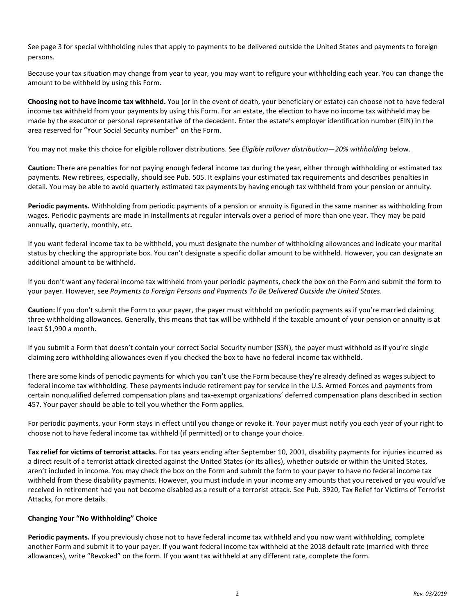See page 3 for special withholding rules that apply to payments to be delivered outside the United States and payments to foreign persons.

Because your tax situation may change from year to year, you may want to refigure your withholding each year. You can change the amount to be withheld by using this Form.

**Choosing not to have income tax withheld.** You (or in the event of death, your beneficiary or estate) can choose not to have federal income tax withheld from your payments by using this Form. For an estate, the election to have no income tax withheld may be made by the executor or personal representative of the decedent. Enter the estate's employer identification number (EIN) in the area reserved for "Your Social Security number" on the Form.

You may not make this choice for eligible rollover distributions. See *Eligible rollover distribution—20% withholding* below.

**Caution:** There are penalties for not paying enough federal income tax during the year, either through withholding or estimated tax payments. New retirees, especially, should see Pub. 505. It explains your estimated tax requirements and describes penalties in detail. You may be able to avoid quarterly estimated tax payments by having enough tax withheld from your pension or annuity.

 wages. Periodic payments are made in installments at regular intervals over a period of more than one year. They may be paid **Periodic payments.** Withholding from periodic payments of a pension or annuity is figured in the same manner as withholding from annually, quarterly, monthly, etc.

If you want federal income tax to be withheld, you must designate the number of withholding allowances and indicate your marital status by checking the appropriate box. You can't designate a specific dollar amount to be withheld. However, you can designate an additional amount to be withheld.

If you don't want any federal income tax withheld from your periodic payments, check the box on the Form and submit the form to your payer. However, see *Payments to Foreign Persons and Payments To Be Delivered Outside the United States*.

 **Caution:** If you don't submit the Form to your payer, the payer must withhold on periodic payments as if you're married claiming three withholding allowances. Generally, this means that tax will be withheld if the taxable amount of your pension or annuity is at least \$1,990 a month.

If you submit a Form that doesn't contain your correct Social Security number (SSN), the payer must withhold as if you're single claiming zero withholding allowances even if you checked the box to have no federal income tax withheld.

There are some kinds of periodic payments for which you can't use the Form because they're already defined as wages subject to federal income tax withholding. These payments include retirement pay for service in the U.S. Armed Forces and payments from certain nonqualified deferred compensation plans and tax-exempt organizations' deferred compensation plans described in section 457. Your payer should be able to tell you whether the Form applies.

For periodic payments, your Form stays in effect until you change or revoke it. Your payer must notify you each year of your right to choose not to have federal income tax withheld (if permitted) or to change your choice.

**Tax relief for victims of terrorist attacks.** For tax years ending after September 10, 2001, disability payments for injuries incurred as a direct result of a terrorist attack directed against the United States (or its allies), whether outside or within the United States, aren't included in income. You may check the box on the Form and submit the form to your payer to have no federal income tax withheld from these disability payments. However, you must include in your income any amounts that you received or you would've received in retirement had you not become disabled as a result of a terrorist attack. See Pub. 3920, Tax Relief for Victims of Terrorist Attacks, for more details.

#### **Changing Your "No Withholding" Choice**

**Periodic payments.** If you previously chose not to have federal income tax withheld and you now want withholding, complete another Form and submit it to your payer. If you want federal income tax withheld at the 2018 default rate (married with three allowances), write "Revoked" on the form. If you want tax withheld at any different rate, complete the form.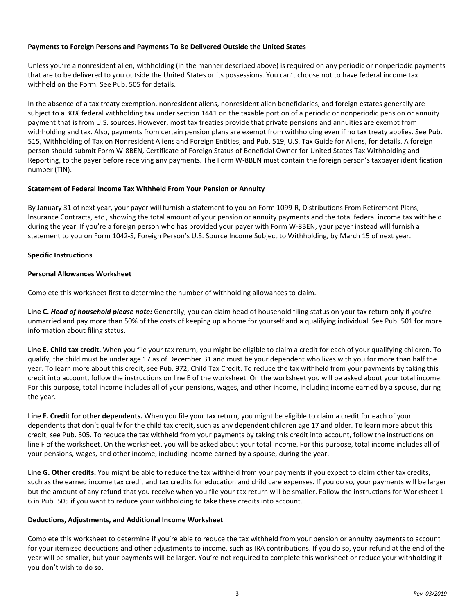#### **Payments to Foreign Persons and Payments To Be Delivered Outside the United States**

Unless you're a nonresident alien, withholding (in the manner described above) is required on any periodic or nonperiodic payments that are to be delivered to you outside the United States or its possessions. You can't choose not to have federal income tax withheld on the Form. See Pub. 505 for details.

In the absence of a tax treaty exemption, nonresident aliens, nonresident alien beneficiaries, and foreign estates generally are subject to a 30% federal withholding tax under section 1441 on the taxable portion of a periodic or nonperiodic pension or annuity payment that is from U.S. sources. However, most tax treaties provide that private pensions and annuities are exempt from withholding and tax. Also, payments from certain pension plans are exempt from withholding even if no tax treaty applies. See Pub. 515, Withholding of Tax on Nonresident Aliens and Foreign Entities, and Pub. 519, U.S. Tax Guide for Aliens, for details. A foreign person should submit Form W-8BEN, Certificate of Foreign Status of Beneficial Owner for United States Tax Withholding and Reporting, to the payer before receiving any payments. The Form W-8BEN must contain the foreign person's taxpayer identification number (TIN).

#### **Statement of Federal Income Tax Withheld From Your Pension or Annuity**

By January 31 of next year, your payer will furnish a statement to you on Form 1099-R, Distributions From Retirement Plans, Insurance Contracts, etc., showing the total amount of your pension or annuity payments and the total federal income tax withheld during the year. If you're a foreign person who has provided your payer with Form W-8BEN, your payer instead will furnish a statement to you on Form 1042-S, Foreign Person's U.S. Source Income Subject to Withholding, by March 15 of next year.

### **Specific Instructions**

### **Personal Allowances Worksheet**

Complete this worksheet first to determine the number of withholding allowances to claim.

 unmarried and pay more than 50% of the costs of keeping up a home for yourself and a qualifying individual. See Pub. 501 for more information about filing status. **Line C.** *Head of household please note:* Generally, you can claim head of household filing status on your tax return only if you're

 qualify, the child must be under age 17 as of December 31 and must be your dependent who lives with you for more than half the **Line E. Child tax credit.** When you file your tax return, you might be eligible to claim a credit for each of your qualifying children. To year. To learn more about this credit, see Pub. 972, Child Tax Credit. To reduce the tax withheld from your payments by taking this credit into account, follow the instructions on line E of the worksheet. On the worksheet you will be asked about your total income. For this purpose, total income includes all of your pensions, wages, and other income, including income earned by a spouse, during the year.

**Line F. Credit for other dependents.** When you file your tax return, you might be eligible to claim a credit for each of your dependents that don't qualify for the child tax credit, such as any dependent children age 17 and older. To learn more about this credit, see Pub. 505. To reduce the tax withheld from your payments by taking this credit into account, follow the instructions on line F of the worksheet. On the worksheet, you will be asked about your total income. For this purpose, total income includes all of your pensions, wages, and other income, including income earned by a spouse, during the year.

**Line G. Other credits.** You might be able to reduce the tax withheld from your payments if you expect to claim other tax credits, such as the earned income tax credit and tax credits for education and child care expenses. If you do so, your payments will be larger but the amount of any refund that you receive when you file your tax return will be smaller. Follow the instructions for Worksheet 1- 6 in Pub. 505 if you want to reduce your withholding to take these credits into account.

#### **Deductions, Adjustments, and Additional Income Worksheet**

Complete this worksheet to determine if you're able to reduce the tax withheld from your pension or annuity payments to account for your itemized deductions and other adjustments to income, such as IRA contributions. If you do so, your refund at the end of the year will be smaller, but your payments will be larger. You're not required to complete this worksheet or reduce your withholding if you don't wish to do so.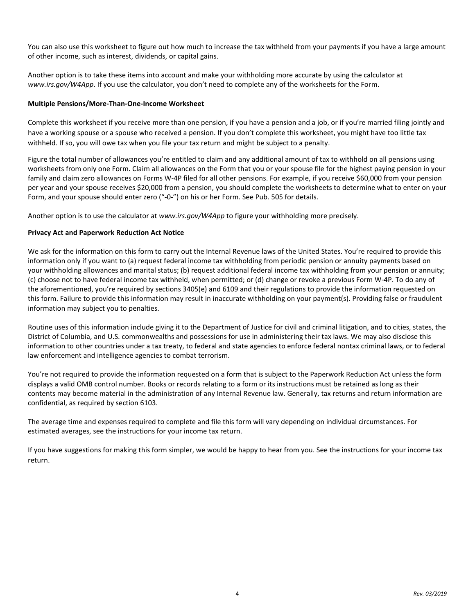You can also use this worksheet to figure out how much to increase the tax withheld from your payments if you have a large amount of other income, such as interest, dividends, or capital gains.

Another option is to take these items into account and make your withholding more accurate by using the calculator at *<www.irs.gov/W4App>*. If you use the calculator, you don't need to complete any of the worksheets for the Form.

#### **Multiple Pensions/More-Than-One-Income Worksheet**

Complete this worksheet if you receive more than one pension, if you have a pension and a job, or if you're married filing jointly and have a working spouse or a spouse who received a pension. If you don't complete this worksheet, you might have too little tax withheld. If so, you will owe tax when you file your tax return and might be subject to a penalty.

Figure the total number of allowances you're entitled to claim and any additional amount of tax to withhold on all pensions using worksheets from only one Form. Claim all allowances on the Form that you or your spouse file for the highest paying pension in your family and claim zero allowances on Forms W-4P filed for all other pensions. For example, if you receive \$60,000 from your pension per year and your spouse receives \$20,000 from a pension, you should complete the worksheets to determine what to enter on your Form, and your spouse should enter zero ("-0-") on his or her Form. See Pub. 505 for details.

Another option is to use the calculator at *<www.irs.gov/W4App>*to figure your withholding more precisely.

#### **Privacy Act and Paperwork Reduction Act Notice**

 We ask for the information on this form to carry out the Internal Revenue laws of the United States. You're required to provide this information only if you want to (a) request federal income tax withholding from periodic pension or annuity payments based on your withholding allowances and marital status; (b) request additional federal income tax withholding from your pension or annuity; (c) choose not to have federal income tax withheld, when permitted; or (d) change or revoke a previous Form W-4P. To do any of the aforementioned, you're required by sections 3405(e) and 6109 and their regulations to provide the information requested on this form. Failure to provide this information may result in inaccurate withholding on your payment(s). Providing false or fraudulent information may subject you to penalties.

Routine uses of this information include giving it to the Department of Justice for civil and criminal litigation, and to cities, states, the District of Columbia, and U.S. commonwealths and possessions for use in administering their tax laws. We may also disclose this information to other countries under a tax treaty, to federal and state agencies to enforce federal nontax criminal laws, or to federal law enforcement and intelligence agencies to combat terrorism.

 displays a valid OMB control number. Books or records relating to a form or its instructions must be retained as long as their You're not required to provide the information requested on a form that is subject to the Paperwork Reduction Act unless the form contents may become material in the administration of any Internal Revenue law. Generally, tax returns and return information are confidential, as required by section 6103.

The average time and expenses required to complete and file this form will vary depending on individual circumstances. For estimated averages, see the instructions for your income tax return.

If you have suggestions for making this form simpler, we would be happy to hear from you. See the instructions for your income tax return.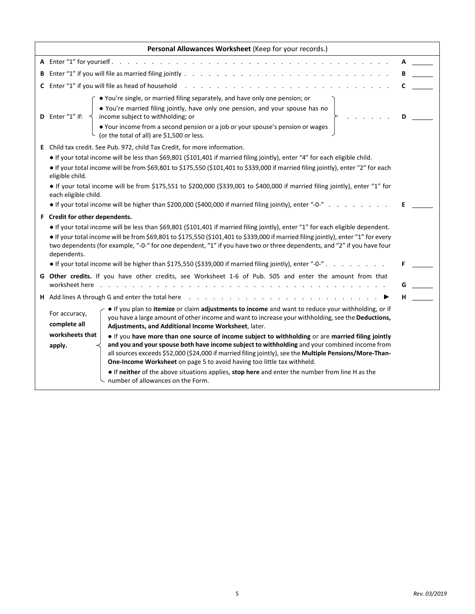| Personal Allowances Worksheet (Keep for your records.)                                                                                                                                                                                                                                                                                                                                                                                           |                                                                                                                                                                                                                                                                                                                                                                                                                                                                                                                                                                                                                                    |   |  |  |  |  |  |
|--------------------------------------------------------------------------------------------------------------------------------------------------------------------------------------------------------------------------------------------------------------------------------------------------------------------------------------------------------------------------------------------------------------------------------------------------|------------------------------------------------------------------------------------------------------------------------------------------------------------------------------------------------------------------------------------------------------------------------------------------------------------------------------------------------------------------------------------------------------------------------------------------------------------------------------------------------------------------------------------------------------------------------------------------------------------------------------------|---|--|--|--|--|--|
|                                                                                                                                                                                                                                                                                                                                                                                                                                                  |                                                                                                                                                                                                                                                                                                                                                                                                                                                                                                                                                                                                                                    |   |  |  |  |  |  |
|                                                                                                                                                                                                                                                                                                                                                                                                                                                  |                                                                                                                                                                                                                                                                                                                                                                                                                                                                                                                                                                                                                                    |   |  |  |  |  |  |
|                                                                                                                                                                                                                                                                                                                                                                                                                                                  |                                                                                                                                                                                                                                                                                                                                                                                                                                                                                                                                                                                                                                    | C |  |  |  |  |  |
|                                                                                                                                                                                                                                                                                                                                                                                                                                                  | • You're single, or married filing separately, and have only one pension; or<br>. You're married filing jointly, have only one pension, and your spouse has no<br>income subject to withholding; or<br><b>D</b> Enter " $1$ " if:<br>• Your income from a second pension or a job or your spouse's pension or wages<br>(or the total of all) are \$1,500 or less.                                                                                                                                                                                                                                                                  |   |  |  |  |  |  |
|                                                                                                                                                                                                                                                                                                                                                                                                                                                  | E Child tax credit. See Pub. 972, child Tax Credit, for more information.<br>• If your total income will be less than \$69,801 (\$101,401 if married filing jointly), enter "4" for each eligible child.<br>• If your total income will be from \$69,801 to \$175,550 (\$101,401 to \$339,000 if married filing jointly), enter "2" for each<br>eligible child.<br>• If your total income will be from \$175,551 to \$200,000 (\$339,001 to \$400,000 if married filing jointly), enter "1" for<br>each eligible child.<br>• If your total income will be higher than \$200,000 (\$400,000 if married filing jointly), enter "-0-" | Е |  |  |  |  |  |
| F Credit for other dependents.<br>• If your total income will be less than \$69,801 (\$101,401 if married filing jointly), enter "1" for each eligible dependent.<br>• If your total income will be from \$69,801 to \$175,550 (\$101,401 to \$339,000 if married filing jointly), enter "1" for every<br>two dependents (for example, "-0-" for one dependent, "1" if you have two or three dependents, and "2" if you have four<br>dependents. |                                                                                                                                                                                                                                                                                                                                                                                                                                                                                                                                                                                                                                    |   |  |  |  |  |  |
|                                                                                                                                                                                                                                                                                                                                                                                                                                                  | • If your total income will be higher than \$175,550 (\$339,000 if married filing jointly), enter "-0-"                                                                                                                                                                                                                                                                                                                                                                                                                                                                                                                            |   |  |  |  |  |  |
|                                                                                                                                                                                                                                                                                                                                                                                                                                                  | G Other credits. If you have other credits, see Worksheet 1-6 of Pub. 505 and enter the amount from that<br>worksheet here<br>$\frac{1}{2}$ . The contract of the contract of the contract of the contract of the contract of the contract of the contract of the contract of the contract of the contract of the contract of the contract of the contract of t                                                                                                                                                                                                                                                                    |   |  |  |  |  |  |
|                                                                                                                                                                                                                                                                                                                                                                                                                                                  | <b>H</b> Add lines A through G and enter the total here reading the service of the service of the service of the service of the service of the service of the service of the service of the service of the service of the service o                                                                                                                                                                                                                                                                                                                                                                                                |   |  |  |  |  |  |
|                                                                                                                                                                                                                                                                                                                                                                                                                                                  | If you plan to itemize or claim adjustments to income and want to reduce your withholding, or if<br>For accuracy,<br>you have a large amount of other income and want to increase your withholding, see the Deductions,<br>complete all<br>Adjustments, and Additional Income Worksheet, later.                                                                                                                                                                                                                                                                                                                                    |   |  |  |  |  |  |
|                                                                                                                                                                                                                                                                                                                                                                                                                                                  | worksheets that<br>If you have more than one source of income subject to withholding or are married filing jointly<br>and you and your spouse both have income subject to withholding and your combined income from<br>apply.<br>all sources exceeds \$52,000 (\$24,000 if married filing jointly), see the Multiple Pensions/More-Than-<br>One-Income Worksheet on page 5 to avoid having too little tax withheld.<br>If neither of the above situations applies, stop here and enter the number from line H as the<br>number of allowances on the Form.                                                                          |   |  |  |  |  |  |